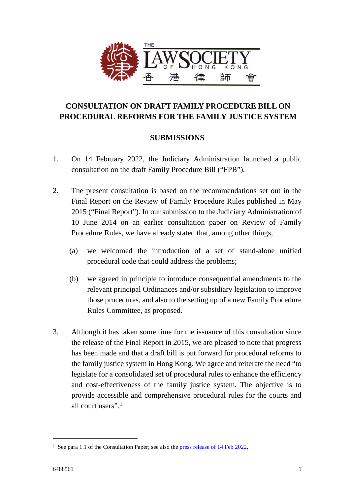

# **CONSULTATION ON DRAFT FAMILY PROCEDURE BILL ON PROCEDURAL REFORMS FOR THE FAMILY JUSTICE SYSTEM**

# **SUBMISSIONS**

- 1. On 14 February 2022, the Judiciary Administration launched a public consultation on the draft Family Procedure Bill ("FPB").
- 2. The present consultation is based on the recommendations set out in the Final Report on the Review of Family Procedure Rules published in May 2015 ("Final Report"). In our submission to the Judiciary Administration of 10 June 2014 on an earlier consultation paper on Review of Family Procedure Rules, we have already stated that, among other things,
	- (a) we welcomed the introduction of a set of stand-alone unified procedural code that could address the problems;
	- (b) we agreed in principle to introduce consequential amendments to the relevant principal Ordinances and/or subsidiary legislation to improve those procedures, and also to the setting up of a new Family Procedure Rules Committee, as proposed.
- 3. Although it has taken some time for the issuance of this consultation since the release of the Final Report in 2015, we are pleased to note that progress has been made and that a draft bill is put forward for procedural reforms to the family justice system in Hong Kong. We agree and reiterate the need "to legislate for a consolidated set of procedural rules to enhance the efficiency and cost-effectiveness of the family justice system. The objective is to provide accessible and comprehensive procedural rules for the courts and all court users" [1](#page-0-0)

-

<span id="page-0-0"></span><sup>&</sup>lt;sup>1</sup> See para 1.1 of the Consultation Paper; see also th[e press release of 14 Feb 2022,](https://www.info.gov.hk/gia/general/202202/14/P2022021400431.htm)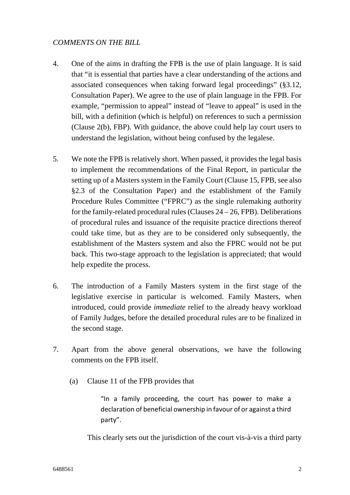## *COMMENTS ON THE BILL*

- 4. One of the aims in drafting the FPB is the use of plain language. It is said that "it is essential that parties have a clear understanding of the actions and associated consequences when taking forward legal proceedings" (§3.12, Consultation Paper). We agree to the use of plain language in the FPB. For example, "permission to appeal" instead of "leave to appeal" is used in the bill, with a definition (which is helpful) on references to such a permission (Clause 2(b), FBP). With guidance, the above could help lay court users to understand the legislation, without being confused by the legalese.
- 5. We note the FPB is relatively short. When passed, it provides the legal basis to implement the recommendations of the Final Report, in particular the setting up of a Masters system in the Family Court (Clause 15, FPB, see also §2.3 of the Consultation Paper) and the establishment of the Family Procedure Rules Committee ("FPRC") as the single rulemaking authority for the family-related procedural rules (Clauses  $24 - 26$ , FPB). Deliberations of procedural rules and issuance of the requisite practice directions thereof could take time, but as they are to be considered only subsequently, the establishment of the Masters system and also the FPRC would not be put back. This two-stage approach to the legislation is appreciated; that would help expedite the process.
- 6. The introduction of a Family Masters system in the first stage of the legislative exercise in particular is welcomed. Family Masters, when introduced, could provide *immediate* relief to the already heavy workload of Family Judges, before the detailed procedural rules are to be finalized in the second stage.
- 7. Apart from the above general observations, we have the following comments on the FPB itself.
	- (a) Clause 11 of the FPB provides that

"In a family proceeding, the court has power to make a declaration of beneficial ownership in favour of or against a third party".

This clearly sets out the jurisdiction of the court vis-à-vis a third party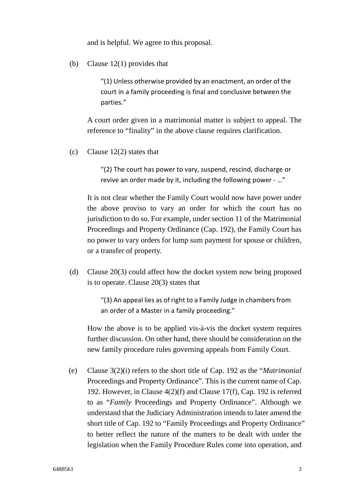and is helpful. We agree to this proposal.

(b) Clause 12(1) provides that

"(1) Unless otherwise provided by an enactment, an order of the court in a family proceeding is final and conclusive between the parties."

A court order given in a matrimonial matter is subject to appeal. The reference to "finality" in the above clause requires clarification.

(c) Clause 12(2) states that

"(2) The court has power to vary, suspend, rescind, discharge or revive an order made by it, including the following power - …"

It is not clear whether the Family Court would now have power under the above proviso to vary an order for which the court has no jurisdiction to do so. For example, under section 11 of the Matrimonial Proceedings and Property Ordinance (Cap. 192), the Family Court has no power to vary orders for lump sum payment for spouse or children, or a transfer of property.

(d) Clause 20(3) could affect how the docket system now being proposed is to operate. Clause 20(3) states that

> "(3) An appeal lies as of right to a Family Judge in chambers from an order of a Master in a family proceeding."

How the above is to be applied vis-à-vis the docket system requires further discussion. On other hand, there should be consideration on the new family procedure rules governing appeals from Family Court.

(e) Clause 3(2)(i) refers to the short title of Cap. 192 as the "*Matrimonial* Proceedings and Property Ordinance". This is the current name of Cap. 192. However, in Clause 4(2)(f) and Clause 17(f), Cap. 192 is referred to as "*Family* Proceedings and Property Ordinance". Although we understand that the Judiciary Administration intends to later amend the short title of Cap. 192 to "Family Proceedings and Property Ordinance" to better reflect the nature of the matters to be dealt with under the legislation when the Family Procedure Rules come into operation, and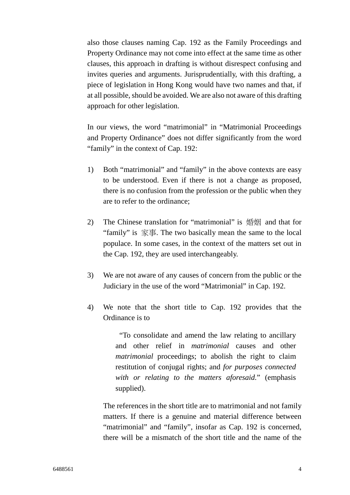also those clauses naming Cap. 192 as the Family Proceedings and Property Ordinance may not come into effect at the same time as other clauses, this approach in drafting is without disrespect confusing and invites queries and arguments. Jurisprudentially, with this drafting, a piece of legislation in Hong Kong would have two names and that, if at all possible, should be avoided. We are also not aware of this drafting approach for other legislation.

In our views, the word "matrimonial" in "Matrimonial Proceedings and Property Ordinance" does not differ significantly from the word "family" in the context of Cap. 192:

- 1) Both "matrimonial" and "family" in the above contexts are easy to be understood. Even if there is not a change as proposed, there is no confusion from the profession or the public when they are to refer to the ordinance;
- 2) The Chinese translation for "matrimonial" is 婚姻 and that for "family" is 家事. The two basically mean the same to the local populace. In some cases, in the context of the matters set out in the Cap. 192, they are used interchangeably.
- 3) We are not aware of any causes of concern from the public or the Judiciary in the use of the word "Matrimonial" in Cap. 192.
- 4) We note that the short title to Cap. 192 provides that the Ordinance is to

"To consolidate and amend the law relating to ancillary and other relief in *matrimonial* causes and other *matrimonial* proceedings; to abolish the right to claim restitution of conjugal rights; and *for purposes connected with or relating to the matters aforesaid.*" (emphasis supplied).

The references in the short title are to matrimonial and not family matters. If there is a genuine and material difference between "matrimonial" and "family", insofar as Cap. 192 is concerned, there will be a mismatch of the short title and the name of the